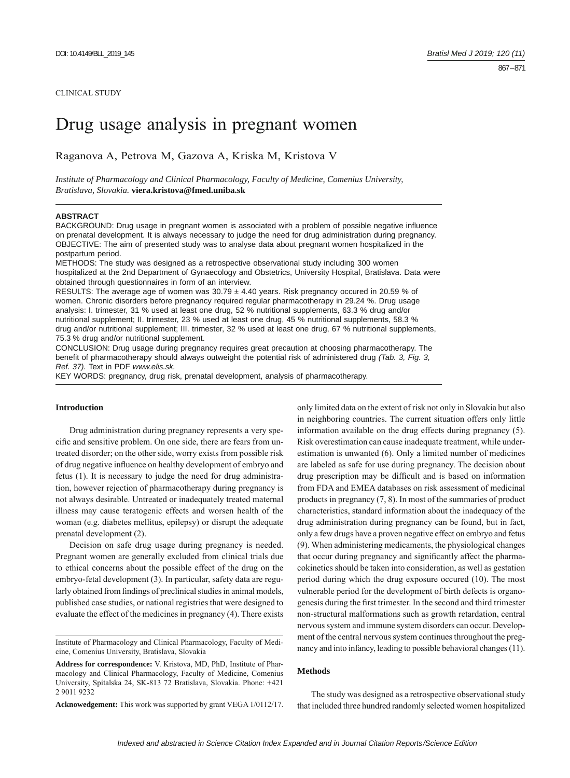#### CLINICAL STUDY

# Drug usage analysis in pregnant women

Raganova A, Petrova M, Gazova A, Kriska M, Kristova V

*Institute of Pharmacology and Clinical Pharmacology, Faculty of Medicine, Comenius University, Bratislava, Slovakia.* **viera.kristova@fmed.uniba.sk**

## **ABSTRACT**

BACKGROUND: Drug usage in pregnant women is associated with a problem of possible negative influence on prenatal development. It is always necessary to judge the need for drug administration during pregnancy. OBJECTIVE: The aim of presented study was to analyse data about pregnant women hospitalized in the postpartum period.

METHODS: The study was designed as a retrospective observational study including 300 women hospitalized at the 2nd Department of Gynaecology and Obstetrics, University Hospital, Bratislava. Data were obtained through questionnaires in form of an interview.

RESULTS: The average age of women was  $30.79 \pm 4.40$  years. Risk pregnancy occured in 20.59 % of women. Chronic disorders before pregnancy required regular pharmacotherapy in 29.24 %. Drug usage analysis: I. trimester, 31 % used at least one drug, 52 % nutritional supplements, 63.3 % drug and/or nutritional supplement; II. trimester, 23 % used at least one drug, 45 % nutritional supplements, 58.3 % drug and/or nutritional supplement; III. trimester, 32 % used at least one drug, 67 % nutritional supplements, 75.3 % drug and/or nutritional supplement.

CONCLUSION: Drug usage during pregnancy requires great precaution at choosing pharmacotherapy. The benefit of pharmacotherapy should always outweight the potential risk of administered drug (Tab. 3, Fig. 3, *Ref. 37).* Text in PDF *www.elis.sk.*

KEY WORDS: pregnancy, drug risk, prenatal development, analysis of pharmacotherapy.

# **Introduction**

Drug administration during pregnancy represents a very specific and sensitive problem. On one side, there are fears from untreated disorder; on the other side, worry exists from possible risk of drug negative influence on healthy development of embryo and fetus (1). It is necessary to judge the need for drug administration, however rejection of pharmacotherapy during pregnancy is not always desirable. Untreated or inadequately treated maternal illness may cause teratogenic effects and worsen health of the woman (e.g. diabetes mellitus, epilepsy) or disrupt the adequate prenatal development (2).

Decision on safe drug usage during pregnancy is needed. Pregnant women are generally excluded from clinical trials due to ethical concerns about the possible effect of the drug on the embryo-fetal development (3). In particular, safety data are regularly obtained from findings of preclinical studies in animal models, published case studies, or national registries that were designed to evaluate the effect of the medicines in pregnancy (4). There exists

Institute of Pharmacology and Clinical Pharmacology, Faculty of Medicine, Comenius University, Bratislava, Slovakia

**Acknowedgement:** This work was supported by grant VEGA 1/0112/17.

only limited data on the extent of risk not only in Slovakia but also in neighboring countries. The current situation offers only little information available on the drug effects during pregnancy (5). Risk overestimation can cause inadequate treatment, while underestimation is unwanted (6). Only a limited number of medicines are labeled as safe for use during pregnancy. The decision about drug prescription may be difficult and is based on information from FDA and EMEA databases on risk assessment of medicinal products in pregnancy (7, 8). In most of the summaries of product characteristics, standard information about the inadequacy of the drug administration during pregnancy can be found, but in fact, only a few drugs have a proven negative effect on embryo and fetus (9). When administering medicaments, the physiological changes that occur during pregnancy and significantly affect the pharmacokinetics should be taken into consideration, as well as gestation period during which the drug exposure occured (10). The most vulnerable period for the development of birth defects is organogenesis during the first trimester. In the second and third trimester non-structural malformations such as growth retardation, central nervous system and immune system disorders can occur. Development of the central nervous system continues throughout the pregnancy and into infancy, leading to possible behavioral changes (11).

## **Methods**

The study was designed as a retrospective observational study that included three hundred randomly selected women hospitalized

**Address for correspondence:** V. Kristova, MD, PhD, Institute of Pharmacology and Clinical Pharmacology, Faculty of Medicine, Comenius University, Spitalska 24, SK-813 72 Bratislava, Slovakia. Phone: +421 2 9011 9232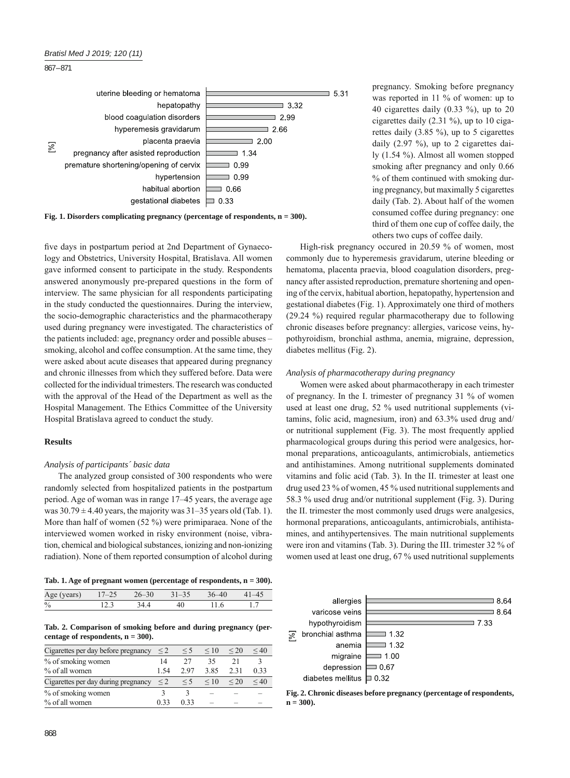

**Fig. 1. Disorders complicating pregnancy (percentage of respondents, n = 300).**

five days in postpartum period at 2nd Department of Gynaecology and Obstetrics, University Hospital, Bratislava. All women gave informed consent to participate in the study. Respondents answered anonymously pre-prepared questions in the form of interview. The same physician for all respondents participating in the study conducted the questionnaires. During the interview, the socio-demographic characteristics and the pharmacotherapy used during pregnancy were investigated. The characteristics of the patients included: age, pregnancy order and possible abuses – smoking, alcohol and coffee consumption. At the same time, they were asked about acute diseases that appeared during pregnancy and chronic illnesses from which they suffered before. Data were collected for the individual trimesters. The research was conducted with the approval of the Head of the Department as well as the Hospital Management. The Ethics Committee of the University Hospital Bratislava agreed to conduct the study.

# **Results**

#### *Analysis of participants´ basic data*

The analyzed group consisted of 300 respondents who were randomly selected from hospitalized patients in the postpartum period. Age of woman was in range 17–45 years, the average age was  $30.79 \pm 4.40$  years, the majority was  $31-35$  years old (Tab. 1). More than half of women (52 %) were primiparaea. None of the interviewed women worked in risky environment (noise, vibration, chemical and biological substances, ionizing and non-ionizing radiation). None of them reported consumption of alcohol during

|  |  | Tab. 1. Age of pregnant women (percentage of respondents, $n = 300$ ). |  |
|--|--|------------------------------------------------------------------------|--|
|--|--|------------------------------------------------------------------------|--|

| Age (years) 17–25 26–30 31–35 36–40 41–45 |  |                       |  |
|-------------------------------------------|--|-----------------------|--|
| $\frac{0}{0}$                             |  | 12.3 34.4 40 11.6 1.7 |  |

## **Tab. 2. Comparison of smoking before and during pregnancy (percentage of respondents, n = 300).**

| Cigarettes per day before pregnancy | $\leq$ 2 | $\leq 5$ | $\leq 10$ | ${}^{20}$ | $\leq 40$      |
|-------------------------------------|----------|----------|-----------|-----------|----------------|
| % of smoking women                  | 14       | 27       | 35        | 21        |                |
| $%$ of all women                    | 1.54     | 2.97     | 3.85      | 2.31      | 0.33           |
| Cigarettes per day during pregnancy | $\leq$ 2 | $\leq 5$ | $\leq 10$ | $\leq$ 20 | ${}_{\leq 40}$ |
| % of smoking women                  |          |          |           |           |                |
| % of all women                      | 0.33     | 0.33     |           |           |                |

pregnancy. Smoking before pregnancy was reported in 11 % of women: up to 40 cigarettes daily (0.33 %), up to 20 cigarettes daily (2.31 %), up to 10 cigarettes daily (3.85 %), up to 5 cigarettes daily (2.97 %), up to 2 cigarettes daily (1.54 %). Almost all women stopped smoking after pregnancy and only 0.66 % of them continued with smoking during pregnancy, but maximally 5 cigarettes daily (Tab. 2). About half of the women consumed coffee during pregnancy: one third of them one cup of coffee daily, the others two cups of coffee daily.

High-risk pregnancy occured in 20.59 % of women, most commonly due to hyperemesis gravidarum, uterine bleeding or hematoma, placenta praevia, blood coagulation disorders, pregnancy after assisted reproduction, premature shortening and opening of the cervix, habitual abortion, hepatopathy, hypertension and gestational diabetes (Fig. 1). Approximately one third of mothers (29.24 %) required regular pharmacotherapy due to following chronic diseases before pregnancy: allergies, varicose veins, hypothyroidism, bronchial asthma, anemia, migraine, depression, diabetes mellitus (Fig. 2).

#### *Analysis of pharmacotherapy during pregnancy*

Women were asked about pharmacotherapy in each trimester of pregnancy. In the I. trimester of pregnancy 31 % of women used at least one drug, 52 % used nutritional supplements (vitamins, folic acid, magnesium, iron) and 63.3% used drug and/ or nutritional supplement (Fig. 3). The most frequently applied pharmacological groups during this period were analgesics, hormonal preparations, anticoagulants, antimicrobials, antiemetics and antihistamines. Among nutritional supplements dominated vitamins and folic acid (Tab. 3). In the II. trimester at least one drug used 23 % of women, 45 % used nutritional supplements and 58.3 % used drug and/or nutritional supplement (Fig. 3). During the II. trimester the most commonly used drugs were analgesics, hormonal preparations, anticoagulants, antimicrobials, antihistamines, and antihypertensives. The main nutritional supplements were iron and vitamins (Tab. 3). During the III. trimester 32 % of women used at least one drug, 67 % used nutritional supplements



**Fig. 2. Chronic diseases before pregnancy (percentage of respondents, n = 300).**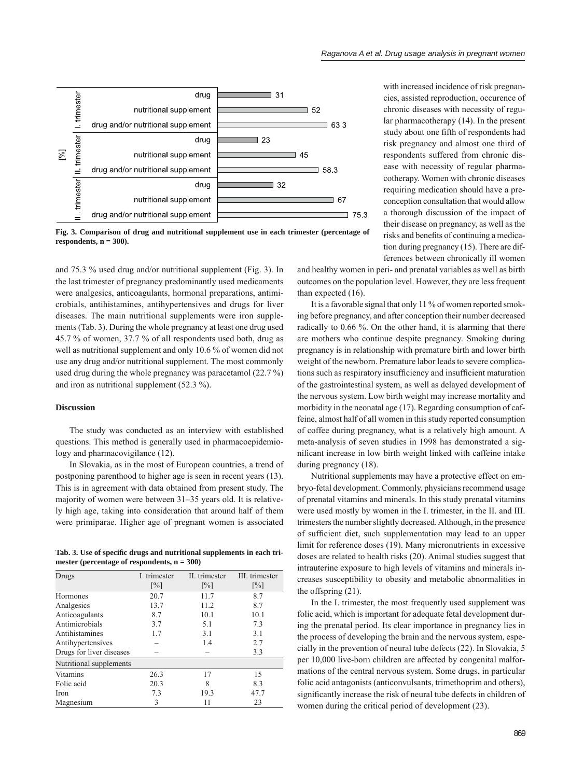

**Fig. 3. Comparison of drug and nutritional supplement use in each trimester (percentage of**  respondents,  $n = 300$ ).

and 75.3 % used drug and/or nutritional supplement (Fig. 3). In the last trimester of pregnancy predominantly used medicaments were analgesics, anticoagulants, hormonal preparations, antimicrobials, antihistamines, antihypertensives and drugs for liver diseases. The main nutritional supplements were iron supplements (Tab. 3). During the whole pregnancy at least one drug used 45.7 % of women, 37.7 % of all respondents used both, drug as well as nutritional supplement and only 10.6 % of women did not use any drug and/or nutritional supplement. The most commonly used drug during the whole pregnancy was paracetamol (22.7 %) and iron as nutritional supplement (52.3 %).

# **Discussion**

The study was conducted as an interview with established questions. This method is generally used in pharmacoepidemiology and pharmacovigilance (12).

In Slovakia, as in the most of European countries, a trend of postponing parenthood to higher age is seen in recent years (13). This is in agreement with data obtained from present study. The majority of women were between 31–35 years old. It is relatively high age, taking into consideration that around half of them were primiparae. Higher age of pregnant women is associated

Tab. 3. Use of specific drugs and nutritional supplements in each tri**mester (percentage of respondents, n = 300)**

| Drugs                    | I. trimester      | II. trimester     | III. trimester    |
|--------------------------|-------------------|-------------------|-------------------|
|                          | $\lceil\% \rceil$ | $\lceil\% \rceil$ | $\lceil\% \rceil$ |
| Hormones                 | 20.7              | 11.7              | 8.7               |
| Analgesics               | 13.7              | 11.2              | 8.7               |
| Anticoagulants           | 8.7               | 10.1              | 10.1              |
| Antimicrobials           | 3.7               | 5.1               | 7.3               |
| Antihistamines           | 1.7               | 3.1               | 3.1               |
| Antihypertensives        |                   | 1.4               | 2.7               |
| Drugs for liver diseases |                   |                   | 3.3               |
| Nutritional supplements  |                   |                   |                   |
| Vitamins                 | 26.3              | 17                | 15                |
| Folic acid               | 20.3              | 8                 | 8.3               |
| Iron                     | 7.3               | 19.3              | 47.7              |
| Magnesium                | 3                 | 11                | 23                |

with increased incidence of risk pregnancies, assisted reproduction, occurence of chronic diseases with necessity of regular pharmacotherapy (14). In the present study about one fifth of respondents had risk pregnancy and almost one third of respondents suffered from chronic disease with necessity of regular pharmacotherapy. Women with chronic diseases requiring medication should have a preconception consultation that would allow a thorough discussion of the impact of their disease on pregnancy, as well as the risks and benefits of continuing a medication during pregnancy (15). There are differences between chronically ill women

and healthy women in peri- and prenatal variables as well as birth outcomes on the population level. However, they are less frequent than expected (16).

It is a favorable signal that only 11 % of women reported smoking before pregnancy, and after conception their number decreased radically to 0.66 %. On the other hand, it is alarming that there are mothers who continue despite pregnancy. Smoking during pregnancy is in relationship with premature birth and lower birth weight of the newborn. Premature labor leads to severe complications such as respiratory insufficiency and insufficient maturation of the gastrointestinal system, as well as delayed development of the nervous system. Low birth weight may increase mortality and morbidity in the neonatal age (17). Regarding consumption of caffeine, almost half of all women in this study reported consumption of coffee during pregnancy, what is a relatively high amount. A meta-analysis of seven studies in 1998 has demonstrated a significant increase in low birth weight linked with caffeine intake during pregnancy (18).

Nutritional supplements may have a protective effect on embryo-fetal development. Commonly, physicians recommend usage of prenatal vitamins and minerals. In this study prenatal vitamins were used mostly by women in the I. trimester, in the II. and III. trimesters the number slightly decreased. Although, in the presence of sufficient diet, such supplementation may lead to an upper limit for reference doses (19). Many micronutrients in excessive doses are related to health risks (20). Animal studies suggest that intrauterine exposure to high levels of vitamins and minerals increases susceptibility to obesity and metabolic abnormalities in the offspring (21).

In the I. trimester, the most frequently used supplement was folic acid, which is important for adequate fetal development during the prenatal period. Its clear importance in pregnancy lies in the process of developing the brain and the nervous system, especially in the prevention of neural tube defects (22). In Slovakia, 5 per 10,000 live-born children are affected by congenital malformations of the central nervous system. Some drugs, in particular folic acid antagonists (anticonvulsants, trimethoprim and others), significantly increase the risk of neural tube defects in children of women during the critical period of development (23).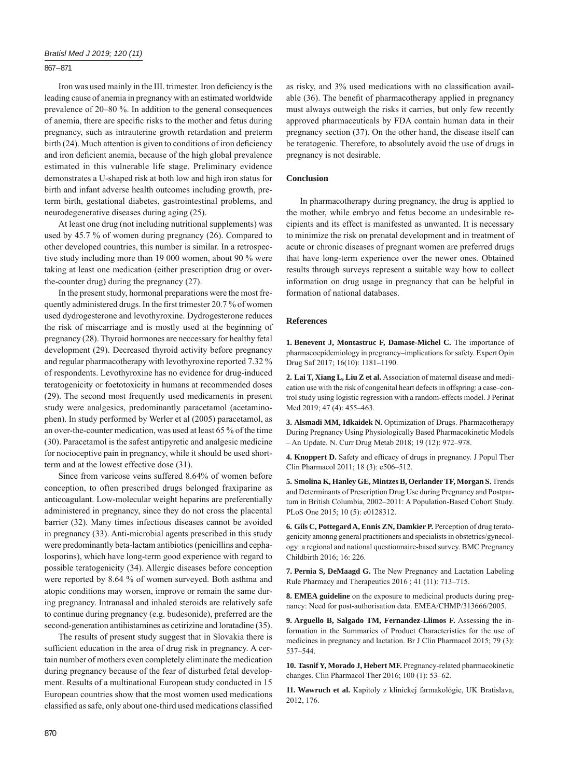## 867 – 871

Iron was used mainly in the III. trimester. Iron deficiency is the leading cause of anemia in pregnancy with an estimated worldwide prevalence of 20–80 %. In addition to the general consequences of anemia, there are specific risks to the mother and fetus during pregnancy, such as intrauterine growth retardation and preterm birth (24). Much attention is given to conditions of iron deficiency and iron deficient anemia, because of the high global prevalence estimated in this vulnerable life stage. Preliminary evidence demonstrates a U-shaped risk at both low and high iron status for birth and infant adverse health outcomes including growth, preterm birth, gestational diabetes, gastrointestinal problems, and neurodegenerative diseases during aging (25).

At least one drug (not including nutritional supplements) was used by 45.7 % of women during pregnancy (26). Compared to other developed countries, this number is similar. In a retrospective study including more than 19 000 women, about 90 % were taking at least one medication (either prescription drug or overthe-counter drug) during the pregnancy (27).

In the present study, hormonal preparations were the most frequently administered drugs. In the first trimester  $20.7\%$  of women used dydrogesterone and levothyroxine. Dydrogesterone reduces the risk of miscarriage and is mostly used at the beginning of pregnancy (28). Thyroid hormones are neccessary for healthy fetal development (29). Decreased thyroid activity before pregnancy and regular pharmacotherapy with levothyroxine reported 7.32 % of respondents. Levothyroxine has no evidence for drug-induced teratogenicity or foetotoxicity in humans at recommended doses (29). The second most frequently used medicaments in present study were analgesics, predominantly paracetamol (acetaminophen). In study performed by Werler et al (2005) paracetamol, as an over-the-counter medication, was used at least 65 % of the time (30). Paracetamol is the safest antipyretic and analgesic medicine for nocioceptive pain in pregnancy, while it should be used shortterm and at the lowest effective dose (31).

Since from varicose veins suffered 8.64% of women before conception, to often prescribed drugs belonged fraxiparine as anticoagulant. Low-molecular weight heparins are preferentially administered in pregnancy, since they do not cross the placental barrier (32). Many times infectious diseases cannot be avoided in pregnancy (33). Anti-microbial agents prescribed in this study were predominantly beta-lactam antibiotics (penicillins and cephalosporins), which have long-term good experience with regard to possible teratogenicity (34). Allergic diseases before conception were reported by 8.64 % of women surveyed. Both asthma and atopic conditions may worsen, improve or remain the same during pregnancy. Intranasal and inhaled steroids are relatively safe to continue during pregnancy (e.g. budesonide), preferred are the second-generation antihistamines as cetirizine and loratadine (35).

The results of present study suggest that in Slovakia there is sufficient education in the area of drug risk in pregnancy. A certain number of mothers even completely eliminate the medication during pregnancy because of the fear of disturbed fetal development. Results of a multinational European study conducted in 15 European countries show that the most women used medications classified as safe, only about one-third used medications classified as risky, and 3% used medications with no classification available (36). The benefit of pharmacotherapy applied in pregnancy must always outweigh the risks it carries, but only few recently approved pharmaceuticals by FDA contain human data in their pregnancy section (37). On the other hand, the disease itself can be teratogenic. Therefore, to absolutely avoid the use of drugs in pregnancy is not desirable.

## **Conclusion**

In pharmacotherapy during pregnancy, the drug is applied to the mother, while embryo and fetus become an undesirable recipients and its effect is manifested as unwanted. It is necessary to minimize the risk on prenatal development and in treatment of acute or chronic diseases of pregnant women are preferred drugs that have long-term experience over the newer ones. Obtained results through surveys represent a suitable way how to collect information on drug usage in pregnancy that can be helpful in formation of national databases.

#### **References**

**1. Benevent J, Montastruc F, Damase-Michel C.** The importance of pharmacoepidemiology in pregnancy–implications for safety. Expert Opin Drug Saf 2017; 16(10): 1181–1190.

**2. Lai T, Xiang L, Liu Z et al.** Association of maternal disease and medication use with the risk of congenital heart defects in offspring: a case–control study using logistic regression with a random-effects model. J Perinat Med 2019; 47 (4): 455-463.

**3. Alsmadi MM, Idkaidek N.** Optimization of Drugs. Pharmacotherapy During Pregnancy Using Physiologically Based Pharmacokinetic Models – An Update. N. Curr Drug Metab 2018; 19 (12): 972–978.

4. Knoppert D. Safety and efficacy of drugs in pregnancy. J Popul Ther Clin Pharmacol 2011; 18 (3): e506–512.

**5. Smolina K, Hanley GE, Mintzes B, Oerlander TF, Morgan S.** Trends and Determinants of Prescription Drug Use during Pregnancy and Postpartum in British Columbia, 2002–2011: A Population-Based Cohort Study. PLoS One 2015; 10 (5): e0128312.

**6. Gils C, Pottegard A, Ennis ZN, Damkier P.** Perception of drug teratogenicity amonng general practitioners and specialists in obstetrics/gynecology: a regional and national questionnaire-based survey. BMC Pregnancy Childbirth 2016; 16: 226.

**7. Pernia S, DeMaagd G.** The New Pregnancy and Lactation Labeling Rule Pharmacy and Therapeutics 2016 ; 41 (11): 713–715.

**8. EMEA guideline** on the exposure to medicinal products during pregnancy: Need for post-authorisation data. EMEA/CHMP/313666/2005.

**9. Arguello B, Salgado TM, Fernandez-Llimos F.** Assessing the information in the Summaries of Product Characteristics for the use of medicines in pregnancy and lactation. Br J Clin Pharmacol 2015; 79 (3): 537–544.

**10. Tasnif Y, Morado J, Hebert MF.** Pregnancy-related pharmacokinetic changes. Clin Pharmacol Ther 2016; 100 (1): 53–62.

**11. Wawruch et al.** Kapitoly z klinickej farmakológie, UK Bratislava, 2012, 176.